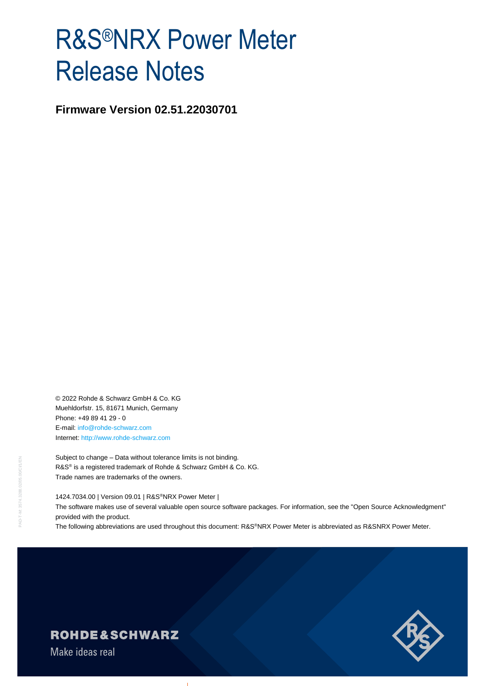# R&S®NRX Power Meter Release Notes

**Firmware Version 02.51.22030701**

© 2022 Rohde & Schwarz GmbH & Co. KG Muehldorfstr. 15, 81671 Munich, Germany Phone: +49 89 41 29 - 0 E-mail: [info@rohde-schwarz.com](mailto:info@rohde-schwarz.com) Internet[: http://www.rohde-schwarz.com](http://www.rohde-schwarz.com/)

Subject to change – Data without tolerance limits is not binding. R&S<sup>®</sup> is a registered trademark of Rohde & Schwarz GmbH & Co. KG. Trade names are trademarks of the owners.

1424.7034.00 | Version 09.01 | R&S®NRX Power Meter |

The software makes use of several valuable open source software packages. For information, see the "Open Source Acknowledgment" provided with the product.

The following abbreviations are used throughout this document: R&S®NRX Power Meter is abbreviated as R&SNRX Power Meter.



## **ROHDE&SCHWARZ**

Make ideas real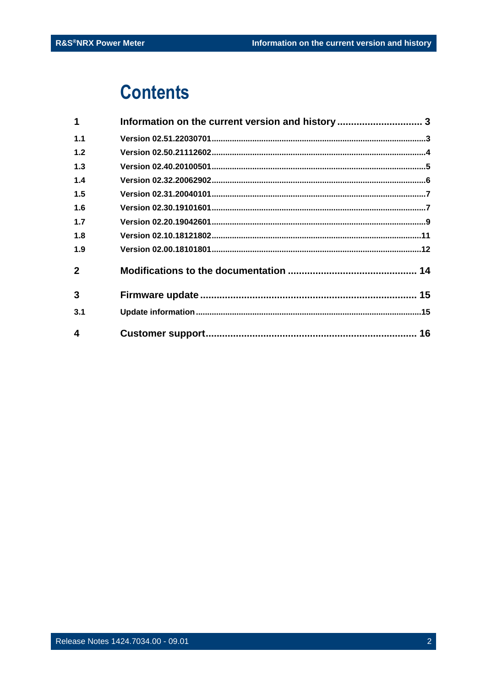## **Contents**

| 1            | Information on the current version and history  3 |  |
|--------------|---------------------------------------------------|--|
| 1.1          |                                                   |  |
| 1.2          |                                                   |  |
| 1.3          |                                                   |  |
| 1.4          |                                                   |  |
| 1.5          |                                                   |  |
| 1.6          |                                                   |  |
| 1.7          |                                                   |  |
| 1.8          |                                                   |  |
| 1.9          |                                                   |  |
| $\mathbf{2}$ |                                                   |  |
| 3            |                                                   |  |
| 3.1          |                                                   |  |
| 4            |                                                   |  |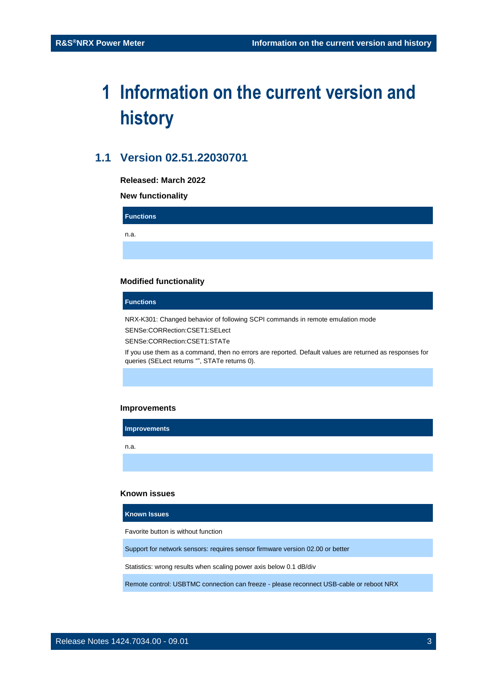## <span id="page-2-0"></span>**1 Information on the current version and history**

## <span id="page-2-1"></span>**1.1 Version 02.51.22030701**

**Released: March 2022**

**New functionality**

**Functions**

n.a.

#### **Modified functionality**

#### **Functions**

NRX-K301: Changed behavior of following SCPI commands in remote emulation mode

SENSe:CORRection:CSET1:SELect

SENSe:CORRection:CSET1:STATe

If you use them as a command, then no errors are reported. Default values are returned as responses for queries (SELect returns "", STATe returns 0).

#### **Improvements**

**Improvements**

n.a.

#### **Known issues**

**Known Issues**

Favorite button is without function

Support for network sensors: requires sensor firmware version 02.00 or better

Statistics: wrong results when scaling power axis below 0.1 dB/div

Remote control: USBTMC connection can freeze - please reconnect USB-cable or reboot NRX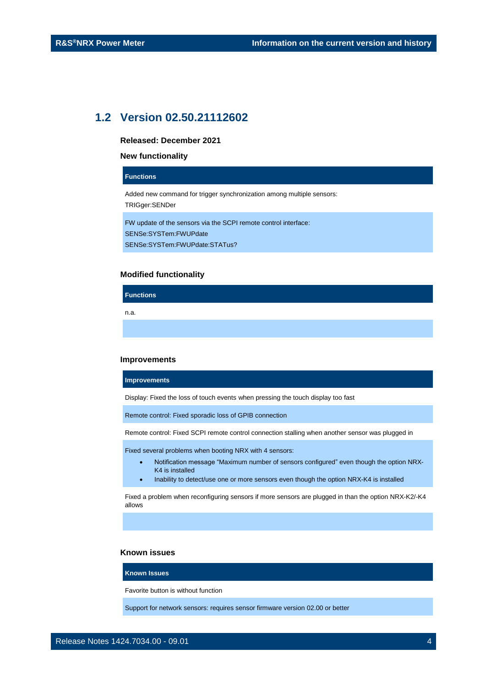## <span id="page-3-0"></span>**1.2 Version 02.50.21112602**

**Released: December 2021**

#### **New functionality**

#### **Functions**

Added new command for trigger synchronization among multiple sensors:

TRIGger:SENDer

FW update of the sensors via the SCPI remote control interface: SENSe:SYSTem:FWUPdate SENSe:SYSTem:FWUPdate:STATus?

#### **Modified functionality**

n.a.

**Functions**

#### **Improvements**

**Improvements**

Display: Fixed the loss of touch events when pressing the touch display too fast

Remote control: Fixed sporadic loss of GPIB connection

Remote control: Fixed SCPI remote control connection stalling when another sensor was plugged in

Fixed several problems when booting NRX with 4 sensors:

- Notification message "Maximum number of sensors configured" even though the option NRX-K4 is installed
- Inability to detect/use one or more sensors even though the option NRX-K4 is installed

Fixed a problem when reconfiguring sensors if more sensors are plugged in than the option NRX-K2/-K4 allows

#### **Known issues**

#### **Known Issues**

Favorite button is without function

Support for network sensors: requires sensor firmware version 02.00 or better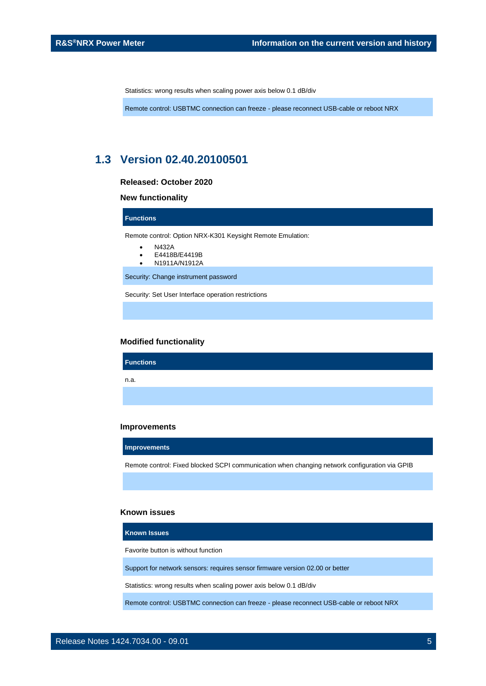Statistics: wrong results when scaling power axis below 0.1 dB/div

<span id="page-4-0"></span>Remote control: USBTMC connection can freeze - please reconnect USB-cable or reboot NRX

## **1.3 Version 02.40.20100501**

**Released: October 2020**

#### **New functionality**

**Functions**

Remote control: Option NRX-K301 Keysight Remote Emulation:

- N432A
- E4418B/E4419B
- N1911A/N1912A

Security: Change instrument password

Security: Set User Interface operation restrictions

#### **Modified functionality**

**Functions** n.a.

#### **Improvements**

**Improvements**

Remote control: Fixed blocked SCPI communication when changing network configuration via GPIB

#### **Known issues**

**Known Issues**

Favorite button is without function

Support for network sensors: requires sensor firmware version 02.00 or better

Statistics: wrong results when scaling power axis below 0.1 dB/div

Remote control: USBTMC connection can freeze - please reconnect USB-cable or reboot NRX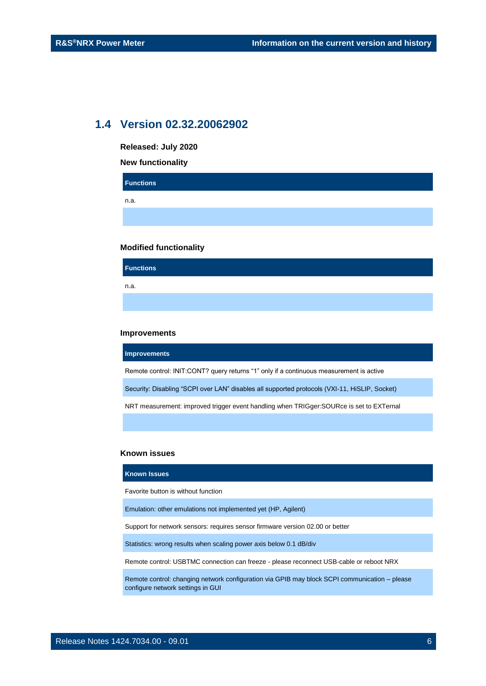### <span id="page-5-0"></span>**1.4 Version 02.32.20062902**

| Released: July 2020      |  |  |  |
|--------------------------|--|--|--|
| <b>New functionality</b> |  |  |  |
| <b>Functions</b>         |  |  |  |
| n.a.                     |  |  |  |
|                          |  |  |  |
|                          |  |  |  |

#### **Modified functionality**

**Functions** n.a.

#### **Improvements**

**Improvements**

Remote control: INIT:CONT? query returns "1" only if a continuous measurement is active

Security: Disabling "SCPI over LAN" disables all supported protocols (VXI-11, HiSLIP, Socket)

NRT measurement: improved trigger event handling when TRIGger:SOURce is set to EXTernal

#### **Known issues**

#### **Known Issues**

Favorite button is without function

Emulation: other emulations not implemented yet (HP, Agilent)

Support for network sensors: requires sensor firmware version 02.00 or better

Statistics: wrong results when scaling power axis below 0.1 dB/div

Remote control: USBTMC connection can freeze - please reconnect USB-cable or reboot NRX

Remote control: changing network configuration via GPIB may block SCPI communication – please configure network settings in GUI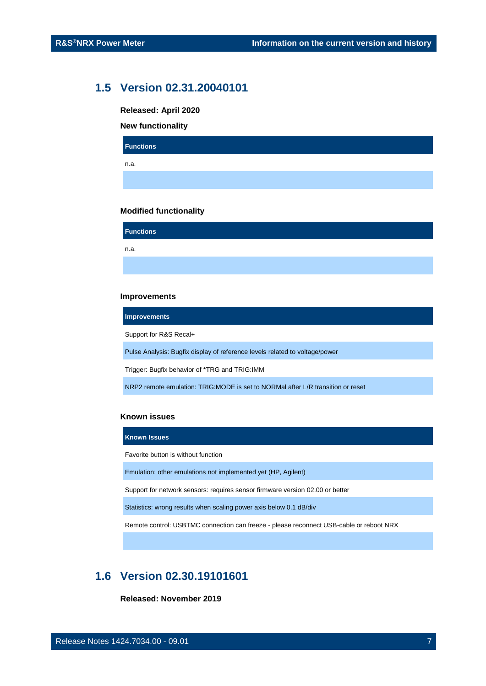### <span id="page-6-0"></span>**1.5 Version 02.31.20040101**

**Released: April 2020**

**New functionality**

| <b>Functions</b> |  |  |  |
|------------------|--|--|--|
| n.a.             |  |  |  |
|                  |  |  |  |

#### **Modified functionality**

**Functions** n.a.

#### **Improvements**

**Improvements**

Support for R&S Recal+

Pulse Analysis: Bugfix display of reference levels related to voltage/power

Trigger: Bugfix behavior of \*TRG and TRIG:IMM

NRP2 remote emulation: TRIG:MODE is set to NORMal after L/R transition or reset

#### **Known issues**

**Known Issues** Favorite button is without function Emulation: other emulations not implemented yet (HP, Agilent) Support for network sensors: requires sensor firmware version 02.00 or better Statistics: wrong results when scaling power axis below 0.1 dB/div

<span id="page-6-1"></span>Remote control: USBTMC connection can freeze - please reconnect USB-cable or reboot NRX

## **1.6 Version 02.30.19101601**

**Released: November 2019**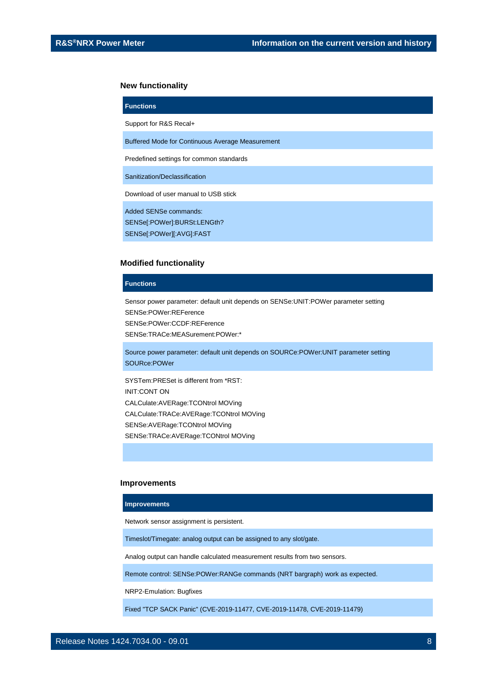#### **New functionality**

| <b>Functions</b>                                        |
|---------------------------------------------------------|
| Support for R&S Recal+                                  |
| <b>Buffered Mode for Continuous Average Measurement</b> |
| Predefined settings for common standards                |
| Sanitization/Declassification                           |
| Download of user manual to USB stick                    |
| Added SENSe commands:<br>SENSel:POWerl:BURSt:LENGth?    |

SENSe[:POWer][:AVG]:FAST

#### **Modified functionality**

#### **Functions**

Sensor power parameter: default unit depends on SENSe:UNIT:POWer parameter setting SENSe:POWer:REFerence SENSe:POWer:CCDF:REFerence SENSe:TRACe:MEASurement:POWer:\*

Source power parameter: default unit depends on SOURCe:POWer:UNIT parameter setting SOURce:POWer

SYSTem:PRESet is different from \*RST: INIT:CONT ON CALCulate:AVERage:TCONtrol MOVing CALCulate:TRACe:AVERage:TCONtrol MOVing SENSe:AVERage:TCONtrol MOVing SENSe:TRACe:AVERage:TCONtrol MOVing

#### **Improvements**

#### **Improvements**

Network sensor assignment is persistent.

Timeslot/Timegate: analog output can be assigned to any slot/gate.

Analog output can handle calculated measurement results from two sensors.

Remote control: SENSe:POWer:RANGe commands (NRT bargraph) work as expected.

NRP2-Emulation: Bugfixes

Fixed "TCP SACK Panic" (CVE-2019-11477, CVE-2019-11478, CVE-2019-11479)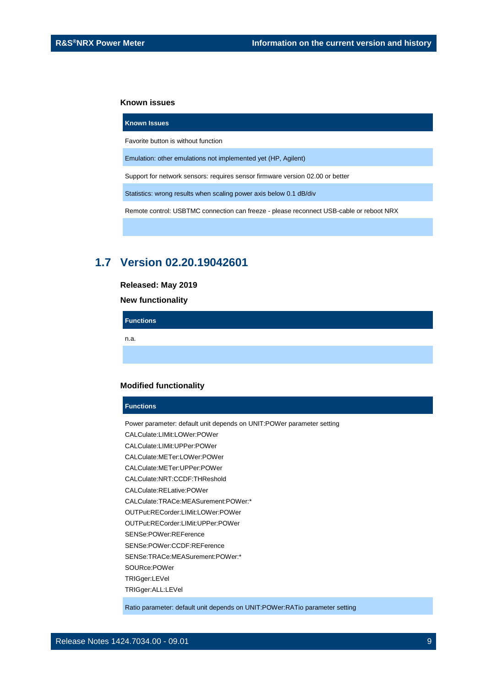#### **Known issues**

**Known Issues**

## Favorite button is without function

Emulation: other emulations not implemented yet (HP, Agilent)

Support for network sensors: requires sensor firmware version 02.00 or better

Statistics: wrong results when scaling power axis below 0.1 dB/div

<span id="page-8-0"></span>Remote control: USBTMC connection can freeze - please reconnect USB-cable or reboot NRX

### **1.7 Version 02.20.19042601**

#### **Released: May 2019**

**New functionality**

**Functions**

n.a.

#### **Modified functionality**

#### **Functions**

Power parameter: default unit depends on UNIT:POWer parameter setting CALCulate:LIMit:LOWer:POWer CALCulate:LIMit:UPPer:POWer CALCulate:METer:LOWer:POWer CALCulate:METer:UPPer:POWer CALCulate:NRT:CCDF:THReshold CALCulate:RELative:POWer CALCulate:TRACe:MEASurement:POWer:\* OUTPut:RECorder:LIMit:LOWer:POWer OUTPut:RECorder:LIMit:UPPer:POWer SENSe:POWer:REFerence SENSe:POWer:CCDF:REFerence SENSe:TRACe:MEASurement:POWer:\* SOURce:POWer TRIGger:LEVel TRIGger:ALL:LEVel

Ratio parameter: default unit depends on UNIT:POWer:RATio parameter setting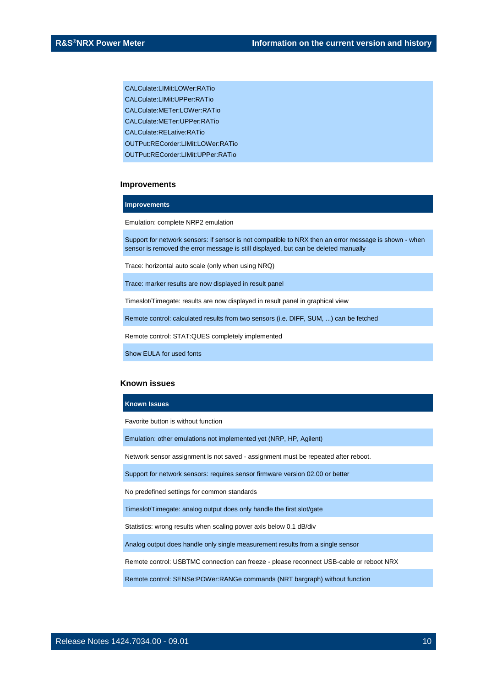CALCulate:LIMit:LOWer:RATio

CALCulate: LIMit: UPPer: RATio

CALCulate:METer:LOWer:RATio

CALCulate:METer:UPPer:RATio

CALCulate:RELative:RATio

OUTPut:RECorder:LIMit:LOWer:RATio

OUTPut:RECorder:LIMit:UPPer:RATio

#### **Improvements**

#### **Improvements**

Emulation: complete NRP2 emulation

Support for network sensors: if sensor is not compatible to NRX then an error message is shown - when sensor is removed the error message is still displayed, but can be deleted manually

Trace: horizontal auto scale (only when using NRQ)

Trace: marker results are now displayed in result panel

Timeslot/Timegate: results are now displayed in result panel in graphical view

Remote control: calculated results from two sensors (i.e. DIFF, SUM, ...) can be fetched

Remote control: STAT:QUES completely implemented

Show EULA for used fonts

#### **Known issues**

#### **Known Issues**

Favorite button is without function

Emulation: other emulations not implemented yet (NRP, HP, Agilent)

Network sensor assignment is not saved - assignment must be repeated after reboot.

Support for network sensors: requires sensor firmware version 02.00 or better

No predefined settings for common standards

Timeslot/Timegate: analog output does only handle the first slot/gate

Statistics: wrong results when scaling power axis below 0.1 dB/div

Analog output does handle only single measurement results from a single sensor

Remote control: USBTMC connection can freeze - please reconnect USB-cable or reboot NRX

Remote control: SENSe:POWer:RANGe commands (NRT bargraph) without function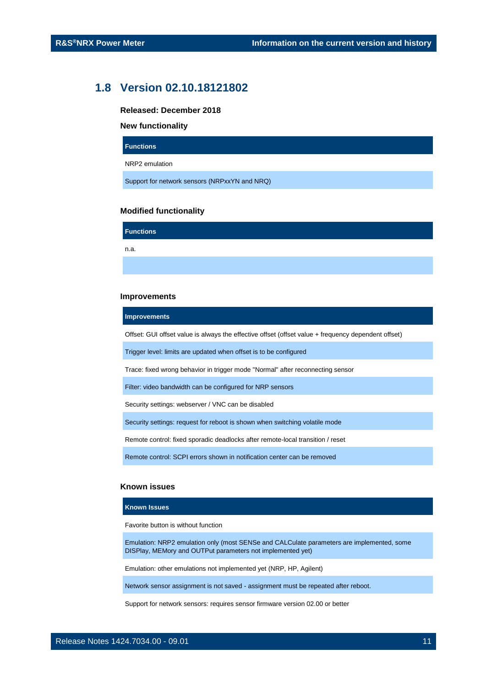### <span id="page-10-0"></span>**1.8 Version 02.10.18121802**

**Released: December 2018**

#### **New functionality**

**Functions**

NRP2 emulation

Support for network sensors (NRPxxYN and NRQ)

#### **Modified functionality**

**Functions** n.a.

#### **Improvements**

#### **Improvements**

Offset: GUI offset value is always the effective offset (offset value + frequency dependent offset)

Trigger level: limits are updated when offset is to be configured

Trace: fixed wrong behavior in trigger mode "Normal" after reconnecting sensor

Filter: video bandwidth can be configured for NRP sensors

Security settings: webserver / VNC can be disabled

Security settings: request for reboot is shown when switching volatile mode

Remote control: fixed sporadic deadlocks after remote-local transition / reset

Remote control: SCPI errors shown in notification center can be removed

#### **Known issues**

#### **Known Issues**

Favorite button is without function

Emulation: NRP2 emulation only (most SENSe and CALCulate parameters are implemented, some DISPlay, MEMory and OUTPut parameters not implemented yet)

Emulation: other emulations not implemented yet (NRP, HP, Agilent)

Network sensor assignment is not saved - assignment must be repeated after reboot.

Support for network sensors: requires sensor firmware version 02.00 or better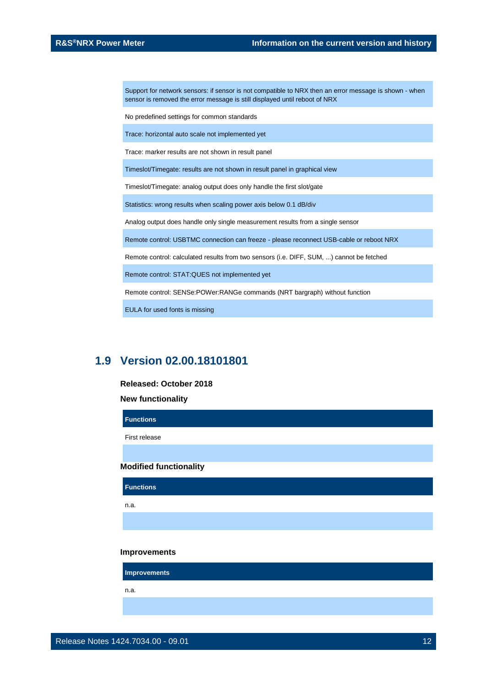Support for network sensors: if sensor is not compatible to NRX then an error message is shown - when sensor is removed the error message is still displayed until reboot of NRX

No predefined settings for common standards

Trace: horizontal auto scale not implemented yet

Trace: marker results are not shown in result panel

Timeslot/Timegate: results are not shown in result panel in graphical view

Timeslot/Timegate: analog output does only handle the first slot/gate

Statistics: wrong results when scaling power axis below 0.1 dB/div

Analog output does handle only single measurement results from a single sensor

Remote control: USBTMC connection can freeze - please reconnect USB-cable or reboot NRX

Remote control: calculated results from two sensors (i.e. DIFF, SUM, ...) cannot be fetched

Remote control: STAT:QUES not implemented yet

Remote control: SENSe:POWer:RANGe commands (NRT bargraph) without function

<span id="page-11-0"></span>EULA for used fonts is missing

### **1.9 Version 02.00.18101801**

#### **Released: October 2018**

**New functionality**

| <b>Functions</b>              |  |  |
|-------------------------------|--|--|
| First release                 |  |  |
|                               |  |  |
| <b>Modified functionality</b> |  |  |
|                               |  |  |
| <b>Functions</b>              |  |  |
| n.a.                          |  |  |
|                               |  |  |

#### **Improvements**

**Improvements**

n.a.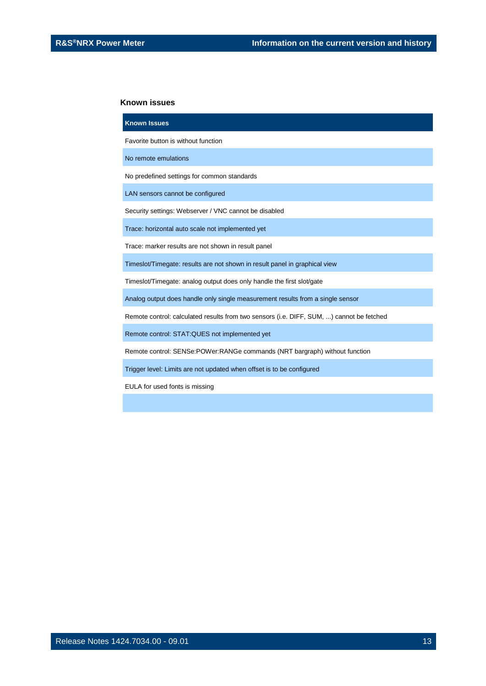#### **Known issues**

| <b>Known Issues</b>                                                                      |
|------------------------------------------------------------------------------------------|
| Favorite button is without function                                                      |
| No remote emulations                                                                     |
| No predefined settings for common standards                                              |
| LAN sensors cannot be configured                                                         |
| Security settings: Webserver / VNC cannot be disabled                                    |
| Trace: horizontal auto scale not implemented yet                                         |
| Trace: marker results are not shown in result panel                                      |
| Timeslot/Timegate: results are not shown in result panel in graphical view               |
| Timeslot/Timegate: analog output does only handle the first slot/gate                    |
| Analog output does handle only single measurement results from a single sensor           |
| Remote control: calculated results from two sensors (i.e. DIFF, SUM, ) cannot be fetched |
| Remote control: STAT: QUES not implemented yet                                           |
| Remote control: SENSe:POWer:RANGe commands (NRT bargraph) without function               |
| Trigger level: Limits are not updated when offset is to be configured                    |

EULA for used fonts is missing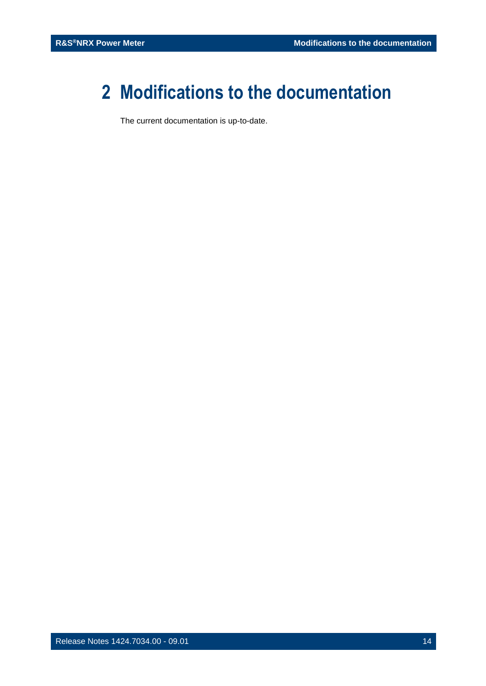## <span id="page-13-0"></span>**2 Modifications to the documentation**

The current documentation is up-to-date.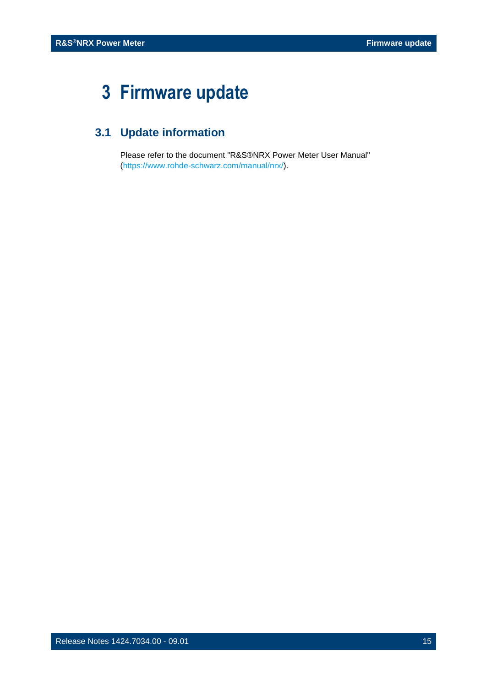## <span id="page-14-0"></span>**3 Firmware update**

## <span id="page-14-1"></span>**3.1 Update information**

Please refer to the document "R&S®NRX Power Meter User Manual" [\(https://www.rohde-schwarz.com/manual/nrx/\)](https://www.rohde-schwarz.com/manual/nrx/).